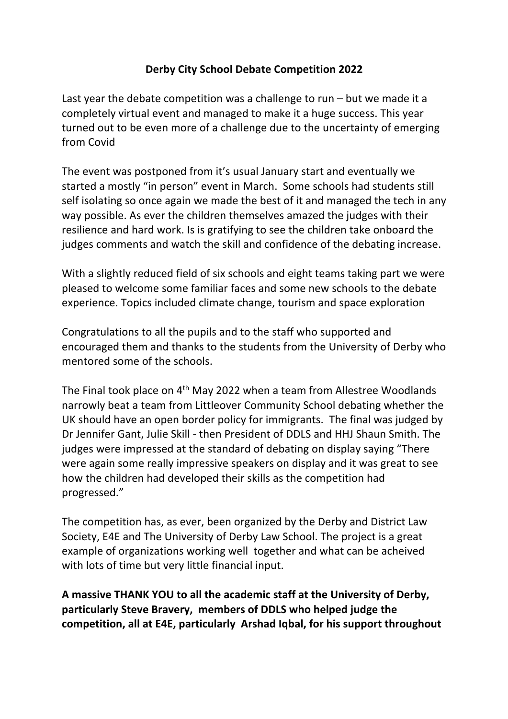## **Derby City School Debate Competition 2022**

Last year the debate competition was a challenge to run  $-$  but we made it a completely virtual event and managed to make it a huge success. This year turned out to be even more of a challenge due to the uncertainty of emerging from Covid

The event was postponed from it's usual January start and eventually we started a mostly "in person" event in March. Some schools had students still self isolating so once again we made the best of it and managed the tech in any way possible. As ever the children themselves amazed the judges with their resilience and hard work. Is is gratifying to see the children take onboard the judges comments and watch the skill and confidence of the debating increase.

With a slightly reduced field of six schools and eight teams taking part we were pleased to welcome some familiar faces and some new schools to the debate experience. Topics included climate change, tourism and space exploration

Congratulations to all the pupils and to the staff who supported and encouraged them and thanks to the students from the University of Derby who mentored some of the schools.

The Final took place on 4th May 2022 when a team from Allestree Woodlands narrowly beat a team from Littleover Community School debating whether the UK should have an open border policy for immigrants. The final was judged by Dr Jennifer Gant, Julie Skill - then President of DDLS and HHJ Shaun Smith. The judges were impressed at the standard of debating on display saying "There were again some really impressive speakers on display and it was great to see how the children had developed their skills as the competition had progressed."

The competition has, as ever, been organized by the Derby and District Law Society, E4E and The University of Derby Law School. The project is a great example of organizations working well together and what can be acheived with lots of time but very little financial input.

**A massive THANK YOU to all the academic staff at the University of Derby, particularly Steve Bravery, members of DDLS who helped judge the competition, all at E4E, particularly Arshad Iqbal, for his support throughout**